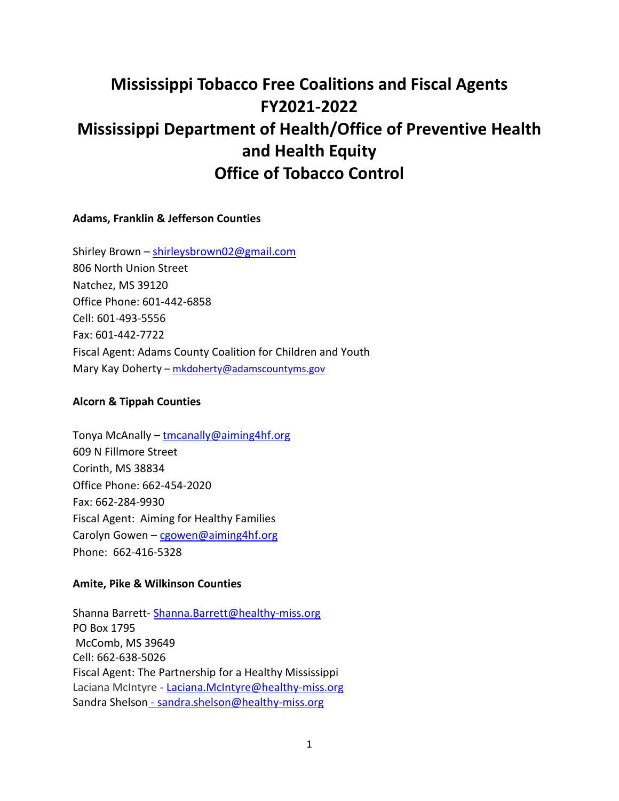# **Mississippi Tobacco Free Coalitions and Fiscal Agents FY2021-2022 Mississippi Department of Health/Office of Preventive Health and Health Equity Office of Tobacco Control**

# **Adams, Franklin & Jefferson Counties**

Shirley Brown – [shirleysbrown02@gmail.com](mailto:shirleysbrown02@gmail.com) 806 North Union Street Natchez, MS 39120 Office Phone: 601-442-6858 Cell: 601-493-5556 Fax: 601-442-7722 Fiscal Agent: Adams County Coalition for Children and Youth Mary Kay Doherty – mkdoherty@adamscountyms.gov

#### **Alcorn & Tippah Counties**

Tonya McAnally - tmcanally@aiming4hf.org 609 N Fillmore Street Corinth, MS 38834 Office Phone: 662-454-2020 Fax: 662-284-9930 Fiscal Agent: Aiming for Healthy Families Carolyn Gowen – [cgowen@aiming4hf.org](mailto:cgowen@aiming4hf.org) Phone: 662-416-5328

# **Amite, Pike & Wilkinson Counties**

Shanna Barrett- [Shanna.Barrett@healthy-miss.org](mailto:Shanna.Barrett@healthy-miss.org)  PO Box 1795 McComb, MS 39649 Cell: 662-638-5026 Fiscal Agent: The Partnership for a Healthy Mississippi Laciana McIntyre - [Laciana.McIntyre@healthy-miss.org](mailto:Laciana.McIntyre@healthy-miss.org)  Sandra Shelson - [sandra.shelson@healthy-miss.org](mailto:sandra.shelson@healthy-miss.org)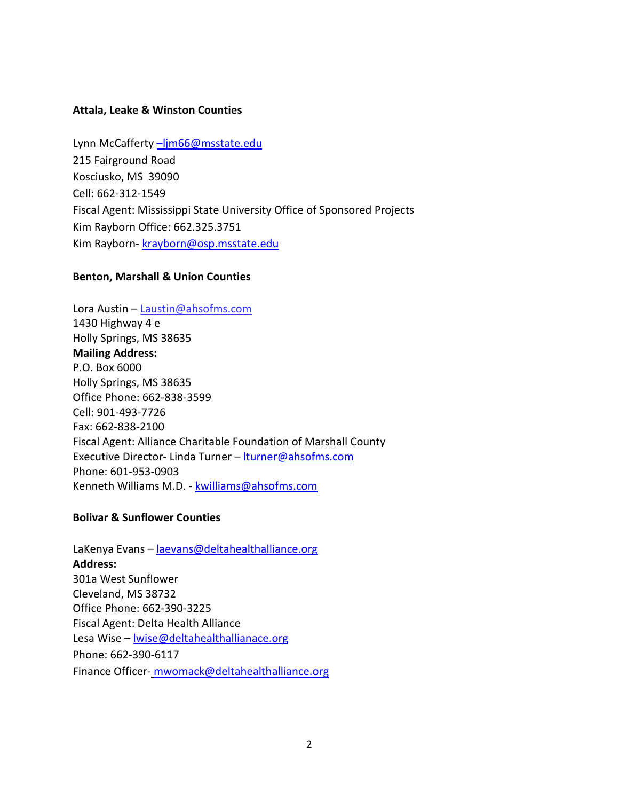## **Attala, Leake & Winston Counties**

Lynn McCafferty -ljm66@msstate.edu 215 Fairground Road Kosciusko, MS 39090 Cell: 662-312-1549 Fiscal Agent: Mississippi State University Office of Sponsored Projects Kim Rayborn Office: 662.325.3751 Kim Rayborn- [krayborn@osp.msstate.edu](mailto:krayborn@osp.msstate.edu) 

## **Benton, Marshall & Union Counties**

Lora Austin - Laustin@ahsofms.com 1430 Highway 4 e Holly Springs, MS 38635 **Mailing Address:** P.O. Box 6000 Holly Springs, MS 38635 Office Phone: 662-838-3599 Cell: 901-493-7726 Fax: 662-838-2100 Fiscal Agent: Alliance Charitable Foundation of Marshall County Executive Director- Linda Turner - [lturner@ahsofms.com](mailto:lturner@ahsofms.com) Phone: 601-953-0903 Kenneth Williams M.D. - [kwilliams@ahsofms.com](mailto:kwilliams@ahsofms.com) 

# **Bolivar & Sunflower Counties**

LaKenya Evans – laevans@deltahealthalliance.org **Address:**  301a West Sunflower Cleveland, MS 38732 Office Phone: 662-390-3225 Fiscal Agent: Delta Health Alliance Lesa Wise - <u>Iwise@deltahealthallianace.org</u> Phone: 662-390-6117 Finance Officer- [mwomack@deltahealthalliance.org](mailto:mwomack@deltahealthalliance.org)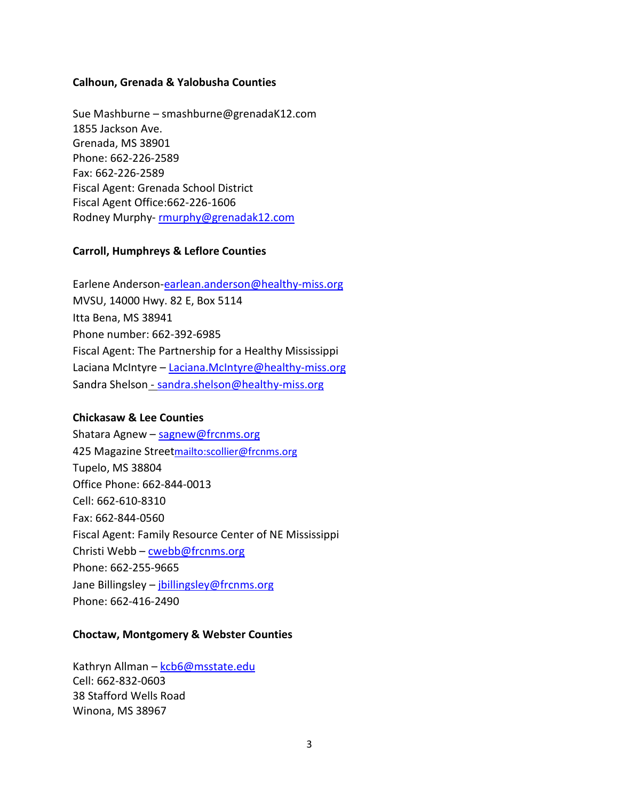## **Calhoun, Grenada & Yalobusha Counties**

Sue Mashburne – smashburne@grenadaK12.com 1855 Jackson Ave. Grenada, MS 38901 Phone: 662-226-2589 Fax: 662-226-2589 Fiscal Agent: Grenada School District Fiscal Agent Office:662-226-1606 Rodney Murphy[- rmurphy@grenadak12.com](mailto:rmurphy@grenadak12.com)

## **Carroll, Humphreys & Leflore Counties**

Earlene Anderson[-earlean.anderson@healthy-miss.org](mailto:earlean.anderson@healthy-miss.org) MVSU, 14000 Hwy. 82 E, Box 5114 Itta Bena, MS 38941 Phone number: 662-392-6985 Fiscal Agent: The Partnership for a Healthy Mississippi Laciana McIntyre – [Laciana.McIntyre@healthy-miss.org](mailto:Laciana.McIntyre@healthy-miss.org) Sandra Shelson - [sandra.shelson@healthy-miss.org](mailto:sandra.shelson@healthy-miss.org)

# **Chickasaw & Lee Counties**

Shatara Agnew – [sagnew@frcnms.org](mailto:sagnew@frcnms.org) 425 Magazine Stree[tmailto:scollier@frcnms.org](mailto:scollier@frcnms.org) Tupelo, MS 38804 Office Phone: 662-844-0013 Cell: 662-610-8310 Fax: 662-844-0560 Fiscal Agent: Family Resource Center of NE Mississippi Christi Webb – [cwebb@frcnms.org](mailto:cwebb@frcnms.org) Phone: 662-255-9665 Jane Billingsley – [jbillingsley@frcnms.org](mailto:jbillingsley@frcnms.org) Phone: 662-416-2490

#### **Choctaw, Montgomery & Webster Counties**

Kathryn Allman - kcb6@msstate.edu Cell: 662-832-0603 38 Stafford Wells Road Winona, MS 38967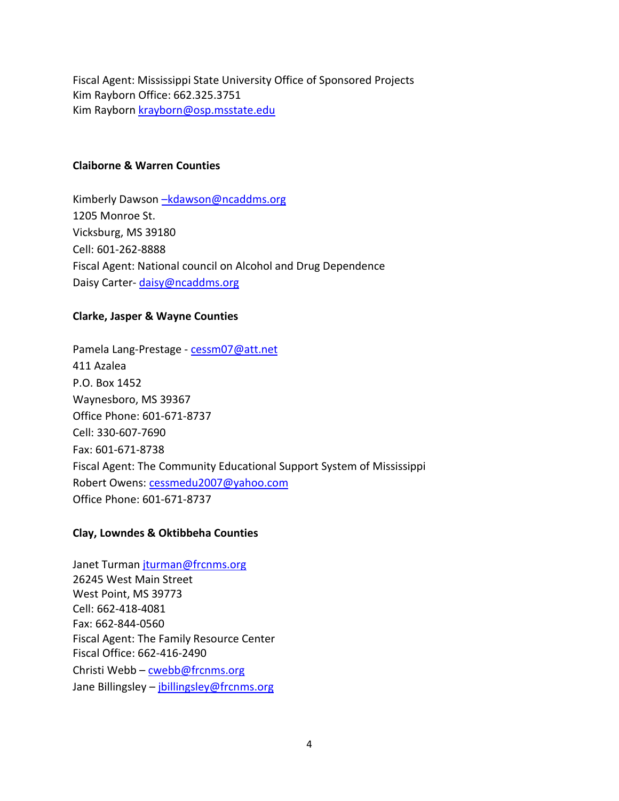Fiscal Agent: Mississippi State University Office of Sponsored Projects Kim Rayborn Office: 662.325.3751 Kim Rayborn [krayborn@osp.msstate.edu](mailto:krayborn@osp.msstate.edu)

## **Claiborne & Warren Counties**

Kimberly Dawson -kdawson@ncaddms.org 1205 Monroe St. Vicksburg, MS 39180 Cell: 601-262-8888 Fiscal Agent: National council on Alcohol and Drug Dependence Daisy Carter-daisy@ncaddms.org

## **Clarke, Jasper & Wayne Counties**

Pamela Lang-Prestage [- cessm07@att.net](mailto:cessm07@att.net) 411 Azalea P.O. Box 1452 Waynesboro, MS 39367 Office Phone: 601-671-8737 Cell: 330-607-7690 Fax: 601-671-8738 Fiscal Agent: The Community Educational Support System of Mississippi Robert Owens: [cessmedu2007@yahoo.com](mailto:cessmedu2007@yahoo.com) Office Phone: 601-671-8737

# **Clay, Lowndes & Oktibbeha Counties**

Janet Turman [jturman@frcnms.org](mailto:jturman@frcnms.org) 26245 West Main Street West Point, MS 39773 Cell: 662-418-4081 Fax: 662-844-0560 Fiscal Agent: The Family Resource Center Fiscal Office: 662-416-2490 Christi Webb - [cwebb@frcnms.org](mailto:cwebb@frcnms.org) Jane Billingsley - [jbillingsley@frcnms.org](mailto:jbillingsley@frcnms.org)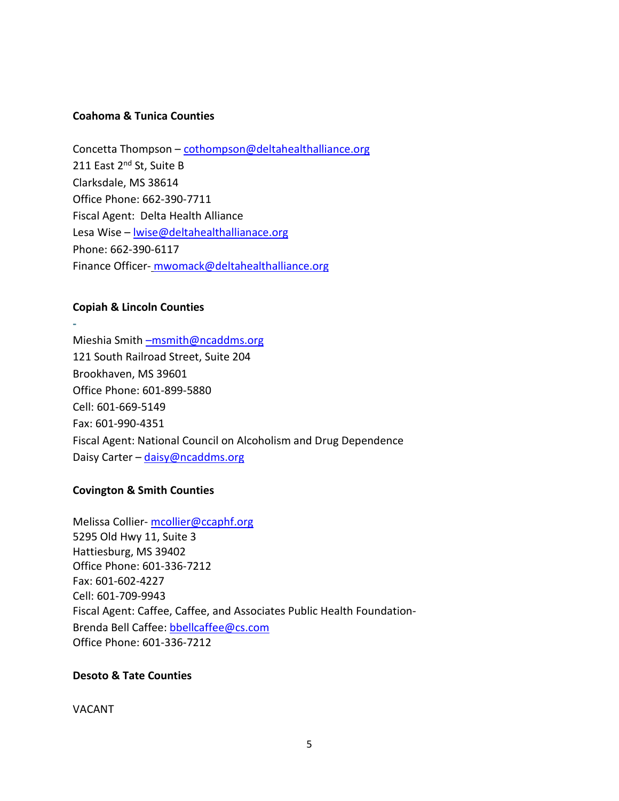## **Coahoma & Tunica Counties**

Concetta Thompson [– cothompson@deltahealthalliance.org](mailto:cothompson@deltahealthalliance.org) 211 East 2<sup>nd</sup> St, Suite B Clarksdale, MS 38614 Office Phone: 662-390-7711 Fiscal Agent: Delta Health Alliance Lesa Wise - lwis[e@deltahealthallianace.org](mailto:ljohnson@deltahealthallianace.org) Phone: 662-390-6117 Finance Officer- mwomack@deltahealthalliance.org

## **Copiah & Lincoln Counties**

**-** 

Mieshia Smith [–msmith@ncaddms.org](mailto:%E2%80%93msmith@ncaddms.org)  121 South Railroad Street, Suite 204 Brookhaven, MS 39601 Office Phone: 601-899-5880 Cell: 601-669-5149 Fax: 601-990-4351 Fiscal Agent: National Council on Alcoholism and Drug Dependence Daisy Carter - daisy@ncaddms.org

# **Covington & Smith Counties**

Melissa Collier- [mcollier@ccaphf.org](mailto:mcollier@ccaphf.org) 5295 Old Hwy 11, Suite 3 Hattiesburg, MS 39402 Office Phone: 601-336-7212 Fax: 601-602-4227 Cell: 601-709-9943 Fiscal Agent: Caffee, Caffee, and Associates Public Health Foundation-Brenda Bell Caffee: [bbellcaffee@cs.com](mailto:bbellcaffee@cs.com) Office Phone: 601-336-7212

#### **Desoto & Tate Counties**

VACANT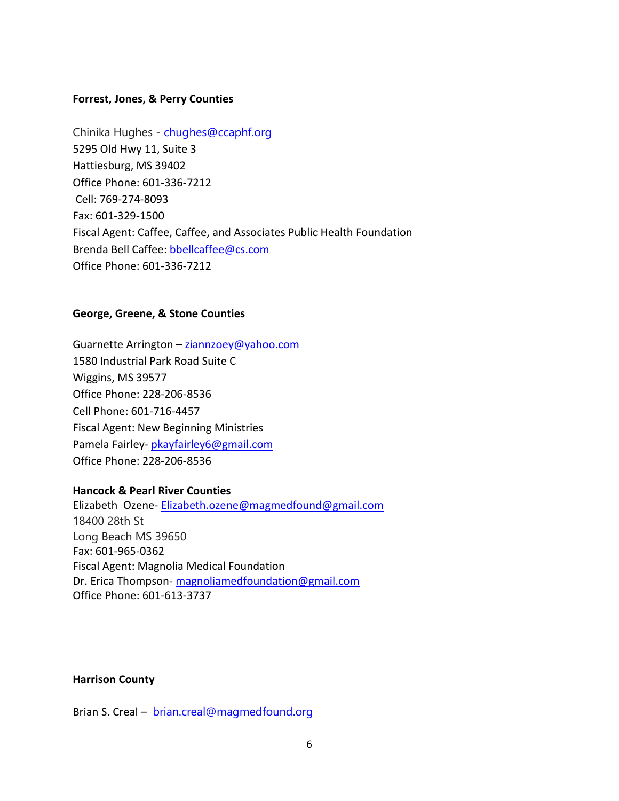## **Forrest, Jones, & Perry Counties**

Chinika Hughes - [chughes@ccaphf.org](mailto:chughes@ccaphf.org) 5295 Old Hwy 11, Suite 3 Hattiesburg, MS 39402 Office Phone: 601-336-7212 Cell: 769-274-8093 Fax: 601-329-1500 Fiscal Agent: Caffee, Caffee, and Associates Public Health Foundation Brenda Bell Caffee: [bbellcaffee@cs.com](mailto:bbellcaffee@cs.com) Office Phone: 601-336-7212

#### **George, Greene, & Stone Counties**

Guarnette Arrington - ziannzoey@yahoo.com 1580 Industrial Park Road Suite C Wiggins, MS 39577 Office Phone: 228-206-8536 Cell Phone: 601-716-4457 Fiscal Agent: New Beginning Ministries Pamela Fairley- [pkayfairley6@gmail.com](mailto:pkayfairley6@gmail.com) Office Phone: 228-206-8536

# **Hancock & Pearl River Counties**

Elizabeth Ozene- [Elizabeth.ozene@magmedfound@gmail.com](mailto:Elizabeth.ozene@magmedfound@gmail.com)  18400 28th St Long Beach MS 39650 Fax: 601-965-0362 Fiscal Agent: Magnolia Medical Foundation Dr. Erica Thompson[- magnoliamedfoundation@gmail.com](mailto:magnoliamedfoundation@gmail.com) Office Phone: 601-613-3737

## **Harrison County**

Brian S. Creal – [brian.creal@magmedfound.org](mailto:brian.creal@magmedfound.org)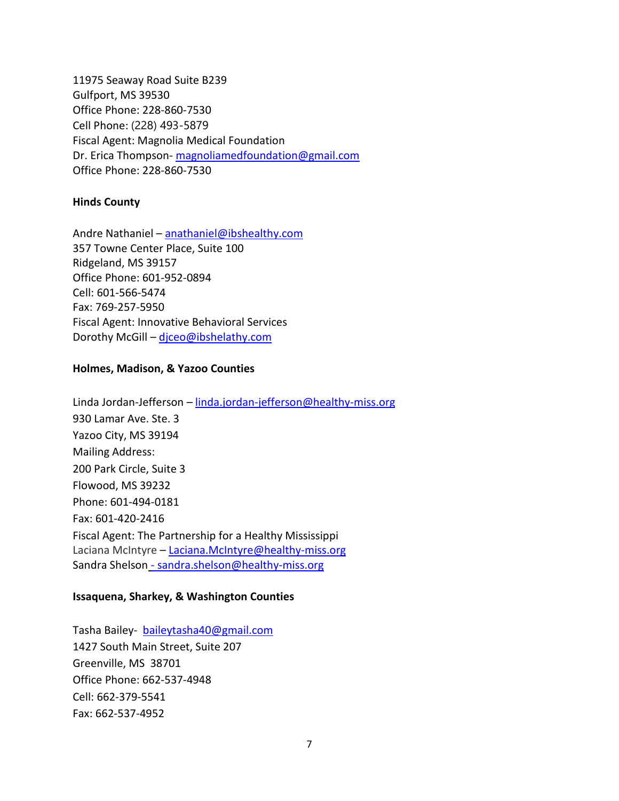11975 Seaway Road Suite B239 Gulfport, MS 39530 Office Phone: 228-860-7530 Cell Phone: (228) 493-5879 Fiscal Agent: Magnolia Medical Foundation Dr. Erica Thompson[- magnoliamedfoundation@gmail.com](mailto:magnoliamedfoundation@gmail.com) Office Phone: 228-860-7530

#### **Hinds County**

Andre Nathaniel - [anathaniel@ibshealthy.com](mailto:anathaniel@ibshealthy.com) 357 Towne Center Place, Suite 100 Ridgeland, MS 39157 Office Phone: 601-952-0894 Cell: 601-566-5474 Fax: 769-257-5950 Fiscal Agent: Innovative Behavioral Services Dorothy McGill – [djceo@ibshelathy.com](mailto:djceo@ibshelathy.com)

#### **Holmes, Madison, & Yazoo Counties**

Linda Jordan-Jefferson – [linda.jordan-jefferson@healthy-miss.org](mailto:linda.jordan-jefferson@healthy-miss.org) 930 Lamar Ave. Ste. 3 Yazoo City, MS 39194 Mailing Address: 200 Park Circle, Suite 3 Flowood, MS 39232 Phone: 601-494-0181 Fax: 601-420-2416 Fiscal Agent: The Partnership for a Healthy Mississippi Laciana McIntyre - [Laciana.McIntyre@healthy-miss.org](mailto:Laciana.McIntyre@healthy-miss.org) Sandra Shelson - [sandra.shelson@healthy-miss.org](mailto:sandra.shelson@healthy-miss.org)

#### **Issaquena, Sharkey, & Washington Counties**

Tasha Bailey- [baileytasha40@gmail.com](mailto:baileytasha40@gmail.com)  1427 South Main Street, Suite 207 Greenville, MS 38701 Office Phone: 662-537-4948 Cell: 662-379-5541 Fax: 662-537-4952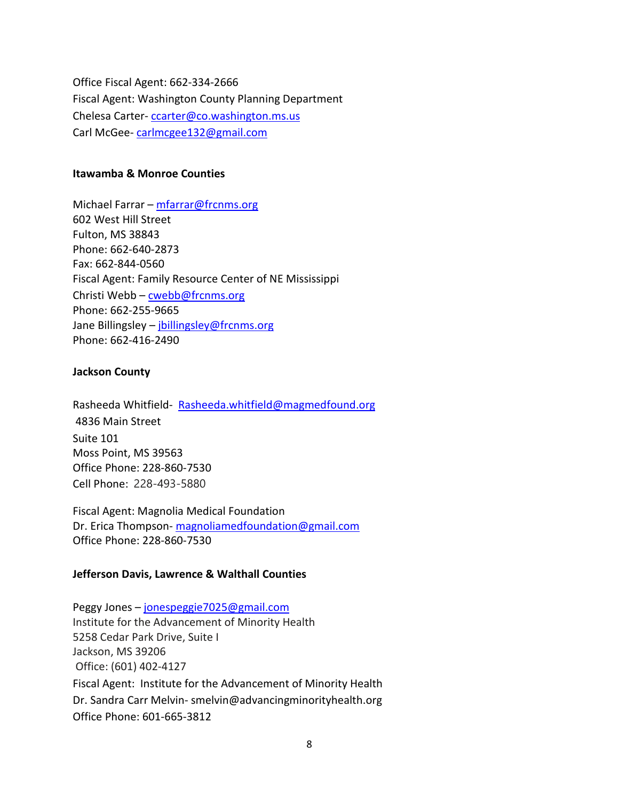Office Fiscal Agent: 662-334-2666 Fiscal Agent: Washington County Planning Department Chelesa Carter- [ccarter@co.washington.ms.us](mailto:ccarter@co.washington.ms.us)  Carl McGee- [carlmcgee132@gmail.com](mailto:carlmcgee132@gmail.com)

#### **Itawamba & Monroe Counties**

Michael Farrar – [mfarrar@frcnms.org](mailto:mfarrar@frcnms.org) 602 West Hill Street Fulton, MS 38843 Phone: 662-640-2873 Fax: 662-844-0560 Fiscal Agent: Family Resource Center of NE Mississippi Christi Webb – [cwebb@frcnms.org](mailto:cwebb@frcnms.org) Phone: 662-255-9665 Jane Billingsley – jbillingsley@frcnms.org Phone: 662-416-2490

# **Jackson County**

Rasheeda Whitfield- Rasheeda.whitfield@magmedfound.org 4836 Main Street Suite 101 Moss Point, MS 39563 Office Phone: 228-860-7530 Cell Phone: 228-493-5880

Fiscal Agent: Magnolia Medical Foundation Dr. Erica Thompson[- magnoliamedfoundation@gmail.com](mailto:magnoliamedfoundation@gmail.com) Office Phone: 228-860-7530

# **Jefferson Davis, Lawrence & Walthall Counties**

Peggy Jones – [jonespeggie7025@gmail.com](mailto:jonespeggie7025@gmail.com)  Institute for the Advancement of Minority Health 5258 Cedar Park Drive, Suite I Jackson, MS 39206 Office: (601) 402-4127 Fiscal Agent: Institute for the Advancement of Minority Health Dr. Sandra Carr Melvin- smelvin@advancingminorityhealth.org Office Phone: 601-665-3812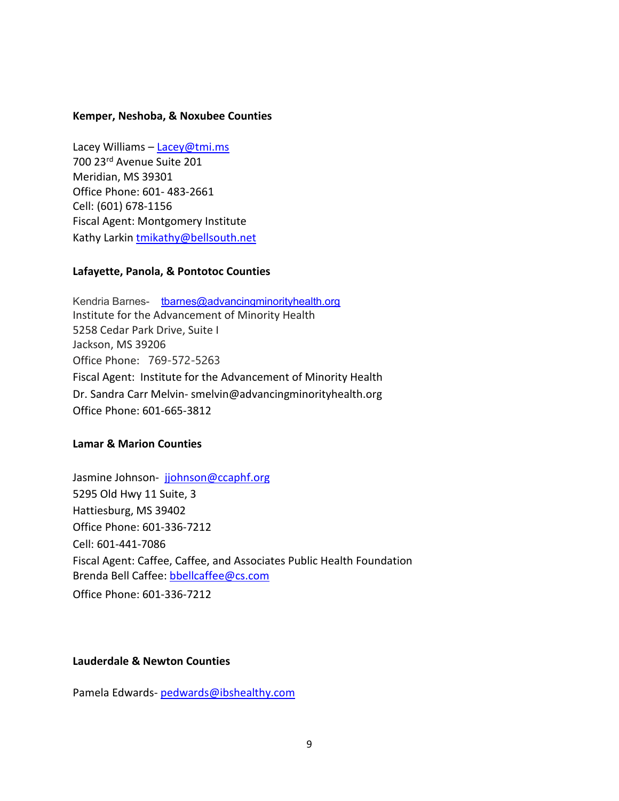## **Kemper, Neshoba, & Noxubee Counties**

Lacey Williams - [Lacey@tmi.ms](mailto:Lacey@tmi.ms) 700 23rd Avenue Suite 201 Meridian, MS 39301 Office Phone: 601- 483-2661 Cell: (601) 678-1156 Fiscal Agent: Montgomery Institute Kathy Larki[n tmikathy@bellsouth.net](mailto:tmikathy@bellsouth.net)

## **Lafayette, Panola, & Pontotoc Counties**

Kendria Barnes- [tbarnes@advancingminorityhealth.org](mailto:tbarnes@advancingminorityhealth.org) Institute for the Advancement of Minority Health 5258 Cedar Park Drive, Suite I Jackson, MS 39206 Office Phone: 769-572-5263 Fiscal Agent: Institute for the Advancement of Minority Health Dr. Sandra Carr Melvin- smelvin@advancingminorityhealth.org Office Phone: 601-665-3812

#### **Lamar & Marion Counties**

Jasmine Johnson- [jjohnson@ccaphf.org](mailto:jjohnson@ccaphf.org) 5295 Old Hwy 11 Suite, 3 Hattiesburg, MS 39402 Office Phone: 601-336-7212 Cell: 601-441-7086 Fiscal Agent: Caffee, Caffee, and Associates Public Health Foundation Brenda Bell Caffee: [bbellcaffee@cs.com](mailto:bbellcaffee@cs.com) Office Phone: 601-336-7212

#### **Lauderdale & Newton Counties**

Pamela Edwards- [pedwards@ibshealthy.com](mailto:pedwards@ibshealthy.com)